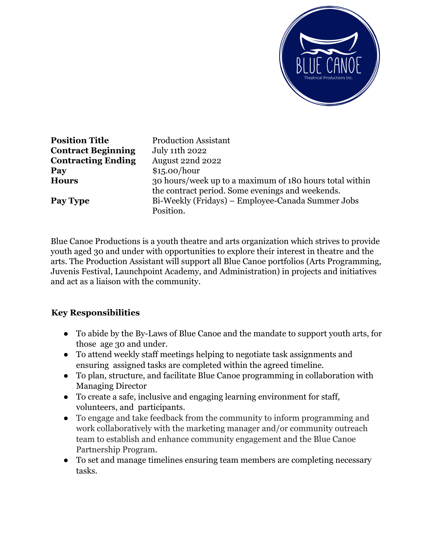

**Position Title** Production Assistant **Contract Beginning** July 11th 2022 **Contracting Ending** August 22nd 2022 **Pay** \$15.00/hour **Hours** 30 hours/week up to a maximum of 180 hours total within the contract period. Some evenings and weekends. **Pay Type** Bi-Weekly (Fridays) – Employee-Canada Summer Jobs Position.

Blue Canoe Productions is a youth theatre and arts organization which strives to provide youth aged 30 and under with opportunities to explore their interest in theatre and the arts. The Production Assistant will support all Blue Canoe portfolios (Arts Programming, Juvenis Festival, Launchpoint Academy, and Administration) in projects and initiatives and act as a liaison with the community.

## **Key Responsibilities**

- To abide by the By-Laws of Blue Canoe and the mandate to support youth arts, for those age 30 and under.
- To attend weekly staff meetings helping to negotiate task assignments and ensuring assigned tasks are completed within the agreed timeline.
- To plan, structure, and facilitate Blue Canoe programming in collaboration with Managing Director
- To create a safe, inclusive and engaging learning environment for staff, volunteers, and participants.
- To engage and take feedback from the community to inform programming and work collaboratively with the marketing manager and/or community outreach team to establish and enhance community engagement and the Blue Canoe Partnership Program.
- To set and manage timelines ensuring team members are completing necessary tasks.